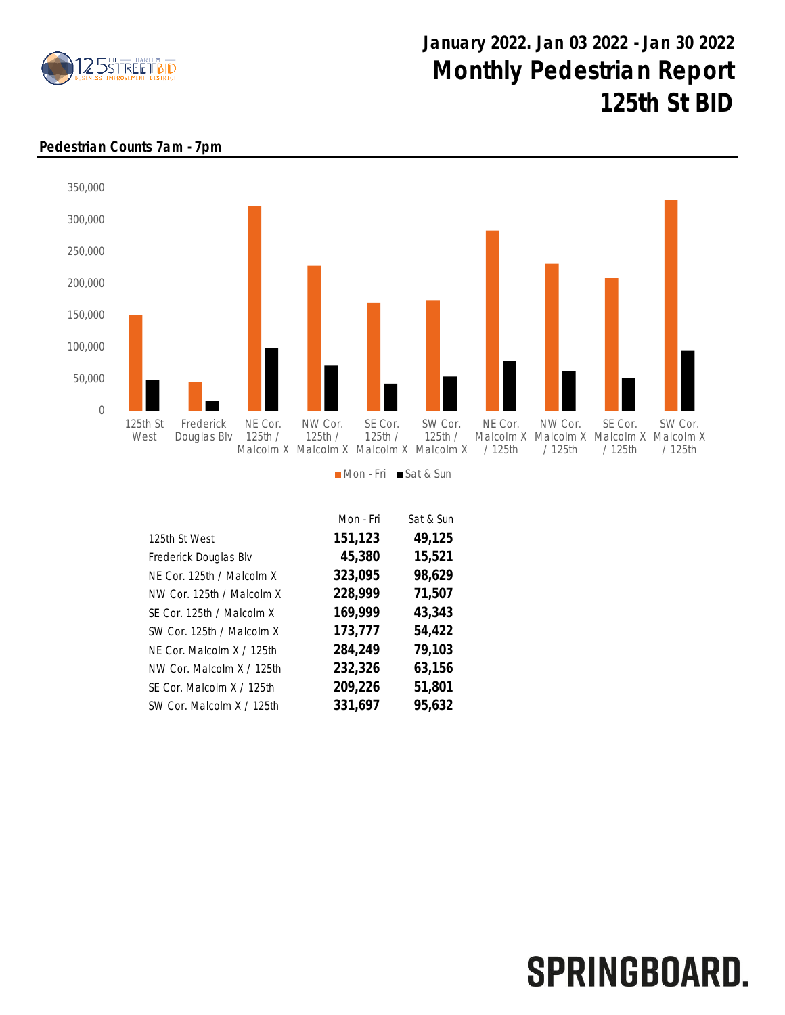

## January 2022. Jan 03 2022 - Jan 30 2022 Monthly Pedestrian Report 125th St BID

## Pedestrian Counts 7am - 7pm



Mon - Fri Sat & Sun

|                           | Mon - Fri | Sat & Sun |
|---------------------------|-----------|-----------|
| 125th St West             | 151,123   | 49,125    |
| Frederick Douglas Blv     | 45,380    | 15,521    |
| NE Cor. 125th / Malcolm X | 323,095   | 98,629    |
| NW Cor. 125th / Malcolm X | 228,999   | 71,507    |
| SE Cor. 125th / Malcolm X | 169,999   | 43,343    |
| SW Cor. 125th / Malcolm X | 173,777   | 54,422    |
| NF Cor. Malcolm X / 125th | 284,249   | 79,103    |
| NW Cor. Malcolm X / 125th | 232,326   | 63,156    |
| SE Cor. Malcolm X / 125th | 209,226   | 51,801    |
| SW Cor. Malcolm X / 125th | 331,697   | 95,632    |

## SPRINGBOARD.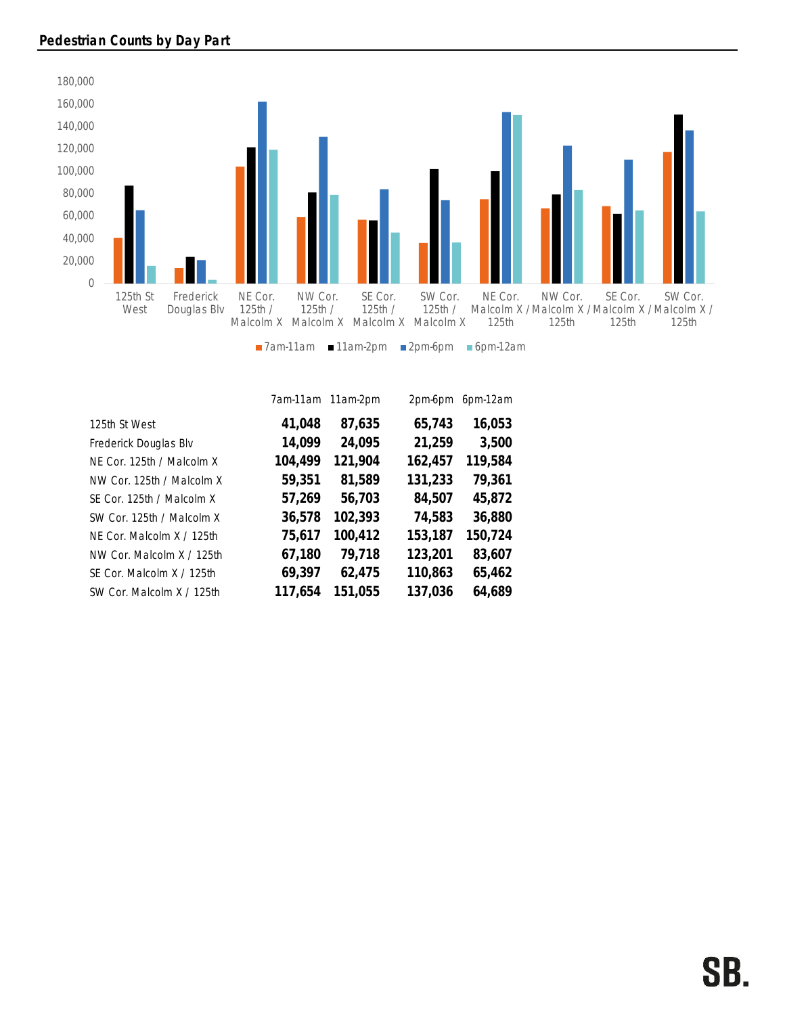

|                           | 7am-11am | 11am-2pm | 2pm-6pm | 6pm-12am |
|---------------------------|----------|----------|---------|----------|
| 125th St West             | 41,048   | 87,635   | 65,743  | 16,053   |
| Frederick Douglas Blv     | 14,099   | 24,095   | 21,259  | 3,500    |
| NE Cor. 125th / Malcolm X | 104,499  | 121,904  | 162,457 | 119,584  |
| NW Cor. 125th / Malcolm X | 59,351   | 81,589   | 131,233 | 79,361   |
| SE Cor. 125th / Malcolm X | 57,269   | 56,703   | 84,507  | 45,872   |
| SW Cor. 125th / Malcolm X | 36,578   | 102,393  | 74,583  | 36,880   |
| NE Cor. Malcolm X / 125th | 75,617   | 100,412  | 153,187 | 150,724  |
| NW Cor. Malcolm X / 125th | 67,180   | 79,718   | 123,201 | 83,607   |
| SE Cor. Malcolm X / 125th | 69,397   | 62,475   | 110,863 | 65,462   |
| SW Cor. Malcolm X / 125th | 117,654  | 151,055  | 137,036 | 64,689   |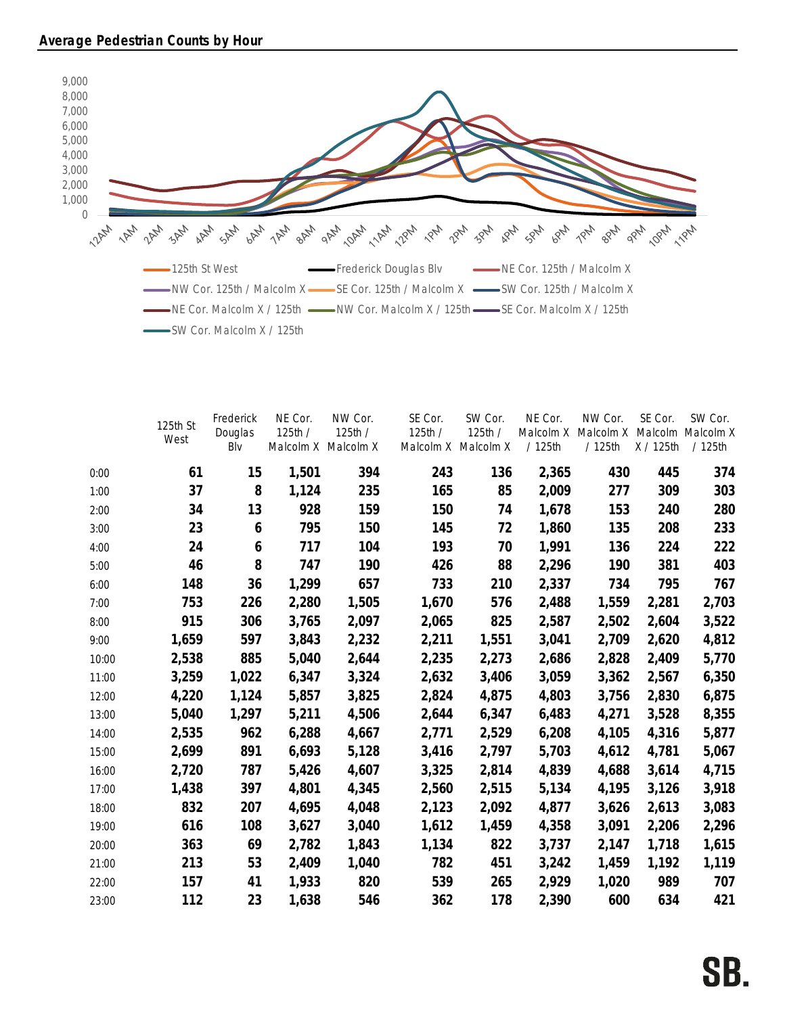

|       | 125th St<br>West | Frederick<br>Douglas<br>Blv | NE Cor.<br>125th/<br>Malcolm X Malcolm X | NW Cor.<br>125th / | SE Cor.<br>125th /<br>Malcolm X Malcolm X | SW Cor.<br>125th/ | NE Cor.<br>Malcolm X<br>/ 125th | NW Cor.<br>Malcolm X<br>/ 125th | SE Cor.<br>X / 125th | SW Cor.<br>Malcolm Malcolm X<br>/ 125th |
|-------|------------------|-----------------------------|------------------------------------------|--------------------|-------------------------------------------|-------------------|---------------------------------|---------------------------------|----------------------|-----------------------------------------|
| 0:00  | 61               | 15                          | 1,501                                    | 394                | 243                                       | 136               | 2,365                           | 430                             | 445                  | 374                                     |
| 1:00  | 37               | 8                           | 1,124                                    | 235                | 165                                       | 85                | 2,009                           | 277                             | 309                  | 303                                     |
| 2:00  | 34               | 13                          | 928                                      | 159                | 150                                       | 74                | 1,678                           | 153                             | 240                  | 280                                     |
| 3:00  | 23               | 6                           | 795                                      | 150                | 145                                       | 72                | 1,860                           | 135                             | 208                  | 233                                     |
| 4:00  | 24               | 6                           | 717                                      | 104                | 193                                       | 70                | 1,991                           | 136                             | 224                  | 222                                     |
| 5:00  | 46               | 8                           | 747                                      | 190                | 426                                       | 88                | 2,296                           | 190                             | 381                  | 403                                     |
| 6:00  | 148              | 36                          | 1,299                                    | 657                | 733                                       | 210               | 2,337                           | 734                             | 795                  | 767                                     |
| 7:00  | 753              | 226                         | 2,280                                    | 1,505              | 1,670                                     | 576               | 2,488                           | 1,559                           | 2,281                | 2,703                                   |
| 8:00  | 915              | 306                         | 3,765                                    | 2,097              | 2,065                                     | 825               | 2,587                           | 2,502                           | 2,604                | 3,522                                   |
| 9:00  | 1,659            | 597                         | 3,843                                    | 2,232              | 2,211                                     | 1,551             | 3,041                           | 2,709                           | 2,620                | 4,812                                   |
| 10:00 | 2,538            | 885                         | 5,040                                    | 2,644              | 2,235                                     | 2,273             | 2,686                           | 2,828                           | 2,409                | 5,770                                   |
| 11:00 | 3,259            | 1,022                       | 6,347                                    | 3,324              | 2,632                                     | 3,406             | 3,059                           | 3,362                           | 2,567                | 6,350                                   |
| 12:00 | 4,220            | 1,124                       | 5,857                                    | 3,825              | 2,824                                     | 4,875             | 4,803                           | 3,756                           | 2,830                | 6,875                                   |
| 13:00 | 5,040            | 1,297                       | 5,211                                    | 4,506              | 2,644                                     | 6,347             | 6,483                           | 4,271                           | 3,528                | 8,355                                   |
| 14:00 | 2,535            | 962                         | 6,288                                    | 4,667              | 2,771                                     | 2,529             | 6,208                           | 4,105                           | 4,316                | 5,877                                   |
| 15:00 | 2,699            | 891                         | 6,693                                    | 5,128              | 3,416                                     | 2,797             | 5,703                           | 4,612                           | 4,781                | 5,067                                   |
| 16:00 | 2,720            | 787                         | 5,426                                    | 4,607              | 3,325                                     | 2,814             | 4,839                           | 4,688                           | 3,614                | 4,715                                   |
| 17:00 | 1,438            | 397                         | 4,801                                    | 4,345              | 2,560                                     | 2,515             | 5,134                           | 4,195                           | 3,126                | 3,918                                   |
| 18:00 | 832              | 207                         | 4,695                                    | 4,048              | 2,123                                     | 2,092             | 4,877                           | 3,626                           | 2,613                | 3,083                                   |
| 19:00 | 616              | 108                         | 3,627                                    | 3,040              | 1,612                                     | 1,459             | 4,358                           | 3,091                           | 2,206                | 2,296                                   |
| 20:00 | 363              | 69                          | 2,782                                    | 1,843              | 1,134                                     | 822               | 3,737                           | 2,147                           | 1,718                | 1,615                                   |
| 21:00 | 213              | 53                          | 2,409                                    | 1,040              | 782                                       | 451               | 3,242                           | 1,459                           | 1,192                | 1,119                                   |
| 22:00 | 157              | 41                          | 1,933                                    | 820                | 539                                       | 265               | 2,929                           | 1,020                           | 989                  | 707                                     |
| 23:00 | 112              | 23                          | 1,638                                    | 546                | 362                                       | 178               | 2,390                           | 600                             | 634                  | 421                                     |